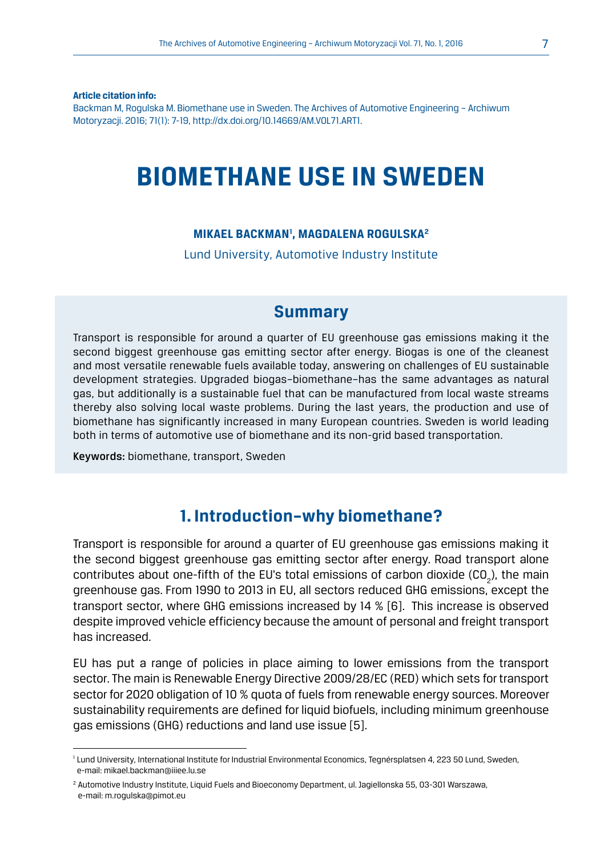**Article citation info:**

Backman M, Rogulska M. Biomethane use in Sweden. The Archives of Automotive Engineering – Archiwum Motoryzacji. 2016; 71(1): 7-19, http://dx.doi.org/10.14669/AM.VOL71.ART1.

# **BIOMETHANE USE IN SWEDEN**

#### **MIKAEL BACKMAN1 , MAGDALENA ROGULSKA2**

Lund University, Automotive Industry Institute

### **Summary**

Transport is responsible for around a quarter of EU greenhouse gas emissions making it the second biggest greenhouse gas emitting sector after energy. Biogas is one of the cleanest and most versatile renewable fuels available today, answering on challenges of EU sustainable development strategies. Upgraded biogas–biomethane–has the same advantages as natural gas, but additionally is a sustainable fuel that can be manufactured from local waste streams thereby also solving local waste problems. During the last years, the production and use of biomethane has significantly increased in many European countries. Sweden is world leading both in terms of automotive use of biomethane and its non-grid based transportation.

Keywords: biomethane, transport, Sweden

### **1. Introduction–why biomethane?**

Transport is responsible for around a quarter of EU greenhouse gas emissions making it the second biggest greenhouse gas emitting sector after energy. Road transport alone contributes about one-fifth of the EU's total emissions of carbon dioxide (CO<sub>2</sub>), the main greenhouse gas. From 1990 to 2013 in EU, all sectors reduced GHG emissions, except the transport sector, where GHG emissions increased by 14 % [6]. This increase is observed despite improved vehicle efficiency because the amount of personal and freight transport has increased.

EU has put a range of policies in place aiming to lower emissions from the transport sector. The main is Renewable Energy Directive 2009/28/EC (RED) which sets for transport sector for 2020 obligation of 10 % quota of fuels from renewable energy sources. Moreover sustainability requirements are defined for liquid biofuels, including minimum greenhouse gas emissions (GHG) reductions and land use issue [5].

<sup>&</sup>lt;sup>1</sup> Lund University, International Institute for Industrial Environmental Economics, Tegnérsplatsen 4, 223 50 Lund, Sweden, e-mail: mikael.backman@iiiee.lu.se

<sup>2</sup> Automotive Industry Institute, Liquid Fuels and Bioeconomy Department, ul. Jagiellonska 55, 03-301 Warszawa, e-mail: m.rogulska@pimot.eu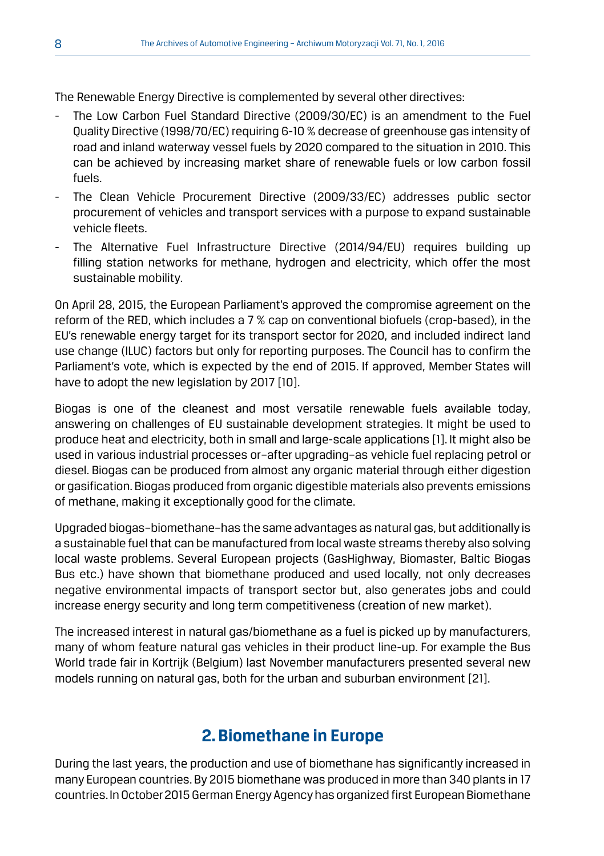The Renewable Energy Directive is complemented by several other directives:

- The Low Carbon Fuel Standard Directive (2009/30/EC) is an amendment to the Fuel Quality Directive (1998/70/EC) requiring 6-10 % decrease of greenhouse gas intensity of road and inland waterway vessel fuels by 2020 compared to the situation in 2010. This can be achieved by increasing market share of renewable fuels or low carbon fossil fuels.
- The Clean Vehicle Procurement Directive (2009/33/EC) addresses public sector procurement of vehicles and transport services with a purpose to expand sustainable vehicle fleets.
- The Alternative Fuel Infrastructure Directive (2014/94/EU) requires building up filling station networks for methane, hydrogen and electricity, which offer the most sustainable mobility.

On April 28, 2015, the European Parliament's approved the compromise agreement on the reform of the RED, which includes a 7 % cap on conventional biofuels (crop-based), in the EU's renewable energy target for its transport sector for 2020, and included indirect land use change (ILUC) factors but only for reporting purposes. The Council has to confirm the Parliament's vote, which is expected by the end of 2015. If approved, Member States will have to adopt the new legislation by 2017 [10].

Biogas is one of the cleanest and most versatile renewable fuels available today, answering on challenges of EU sustainable development strategies. It might be used to produce heat and electricity, both in small and large-scale applications [1]. It might also be used in various industrial processes or–after upgrading–as vehicle fuel replacing petrol or diesel. Biogas can be produced from almost any organic material through either digestion or gasification. Biogas produced from organic digestible materials also prevents emissions of methane, making it exceptionally good for the climate.

Upgraded biogas–biomethane–has the same advantages as natural gas, but additionally is a sustainable fuel that can be manufactured from local waste streams thereby also solving local waste problems. Several European projects (GasHighway, Biomaster, Baltic Biogas Bus etc.) have shown that biomethane produced and used locally, not only decreases negative environmental impacts of transport sector but, also generates jobs and could increase energy security and long term competitiveness (creation of new market).

The increased interest in natural gas/biomethane as a fuel is picked up by manufacturers, many of whom feature natural gas vehicles in their product line-up. For example the Bus World trade fair in Kortrijk (Belgium) last November manufacturers presented several new models running on natural gas, both for the urban and suburban environment [21].

# **2. Biomethane in Europe**

During the last years, the production and use of biomethane has significantly increased in many European countries. By 2015 biomethane was produced in more than 340 plants in 17 countries. In October 2015 German Energy Agency has organized first European Biomethane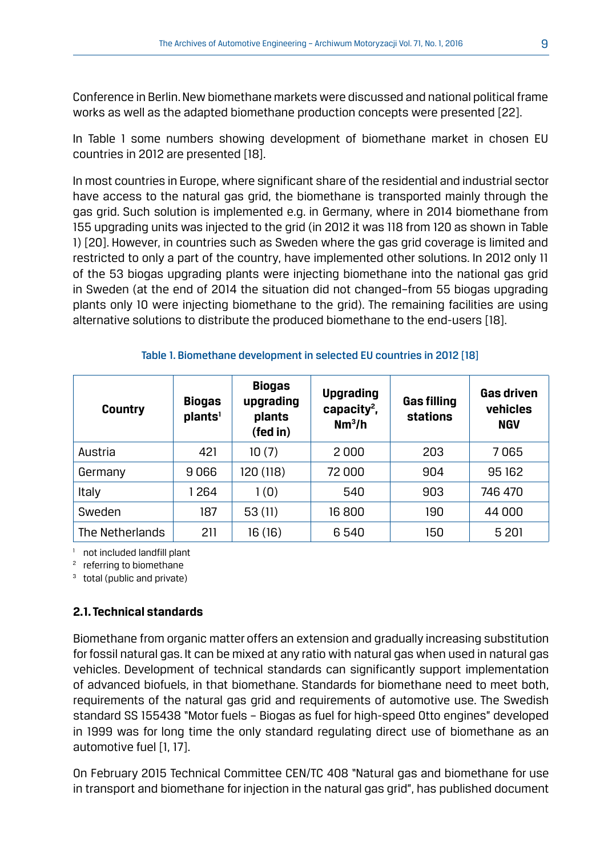Conference in Berlin. New biomethane markets were discussed and national political frame works as well as the adapted biomethane production concepts were presented [22].

In Table 1 some numbers showing development of biomethane market in chosen EU countries in 2012 are presented [18].

In most countries in Europe, where significant share of the residential and industrial sector have access to the natural gas grid, the biomethane is transported mainly through the gas grid. Such solution is implemented e.g. in Germany, where in 2014 biomethane from 155 upgrading units was injected to the grid (in 2012 it was 118 from 120 as shown in Table 1) [20]. However, in countries such as Sweden where the gas grid coverage is limited and restricted to only a part of the country, have implemented other solutions. In 2012 only 11 of the 53 biogas upgrading plants were injecting biomethane into the national gas grid in Sweden (at the end of 2014 the situation did not changed–from 55 biogas upgrading plants only 10 were injecting biomethane to the grid). The remaining facilities are using alternative solutions to distribute the produced biomethane to the end-users [18].

| <b>Country</b>  | <b>Biogas</b><br>plants <sup>1</sup> | <b>Biogas</b><br>upgrading<br>plants<br>(fed in) | <b>Upgrading</b><br>capacity <sup>2</sup> ,<br>Nm <sup>3</sup> /h | <b>Gas filling</b><br>stations | <b>Gas driven</b><br>vehicles<br><b>NGV</b> |
|-----------------|--------------------------------------|--------------------------------------------------|-------------------------------------------------------------------|--------------------------------|---------------------------------------------|
| Austria         | 421                                  | 10(7)                                            | 2000                                                              | 203                            | 7065                                        |
| Germany         | 9066                                 | 120 (118)                                        | 72 000                                                            | 904                            | 95 162                                      |
| Italy           | 264                                  | 1(0)                                             | 540                                                               | 903                            | 746 470                                     |
| Sweden          | 187                                  | 53(11)                                           | 16 800                                                            | 190                            | 44 000                                      |
| The Netherlands | 211                                  | 16 (16)                                          | 6540                                                              | 150                            | 5 201                                       |

Table 1. Biomethane development in selected EU countries in 2012 [18]

<sup>1</sup> not included landfill plant  $\frac{2}{3}$  referring to biomethane

<sup>3</sup> total (public and private)

#### **2.1. Technical standards**

Biomethane from organic matter offers an extension and gradually increasing substitution for fossil natural gas. It can be mixed at any ratio with natural gas when used in natural gas vehicles. Development of technical standards can significantly support implementation of advanced biofuels, in that biomethane. Standards for biomethane need to meet both, requirements of the natural gas grid and requirements of automotive use. The Swedish standard SS 155438 "Motor fuels – Biogas as fuel for high-speed Otto engines" developed in 1999 was for long time the only standard regulating direct use of biomethane as an automotive fuel [1, 17].

On February 2015 Technical Committee CEN/TC 408 "Natural gas and biomethane for use in transport and biomethane for injection in the natural gas grid", has published document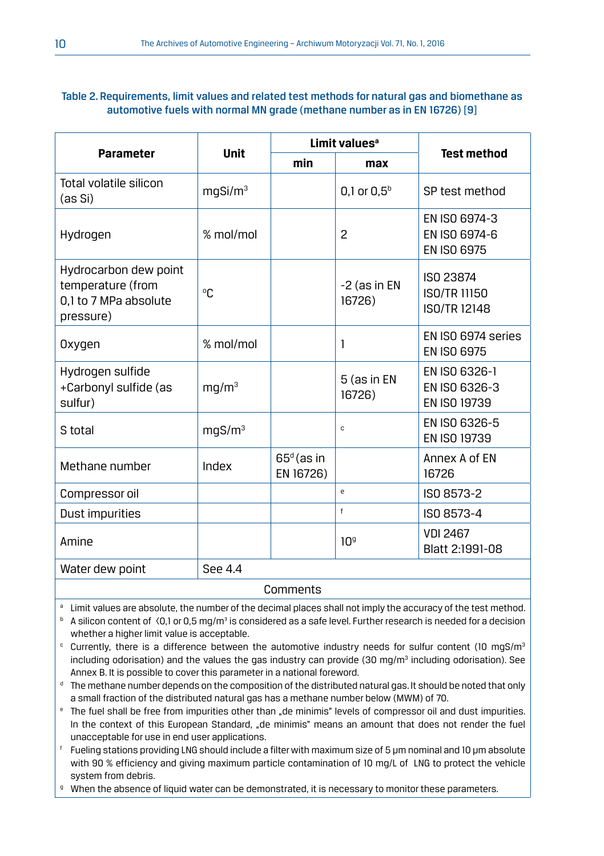#### Table 2. Requirements, limit values and related test methods for natural gas and biomethane as automotive fuels with normal MN grade (methane number as in EN 16726) [9]

|                                                                                  |                     |                           | Limit values <sup>a</sup> |                                                  |  |
|----------------------------------------------------------------------------------|---------------------|---------------------------|---------------------------|--------------------------------------------------|--|
| <b>Parameter</b>                                                                 | <b>Unit</b>         | min                       | max                       | <b>Test method</b>                               |  |
| Total volatile silicon<br>(as Si)                                                | mgSi/m <sup>3</sup> |                           | 0,1 or $0.5^{\rm b}$      | SP test method                                   |  |
| Hydrogen                                                                         | % mol/mol           |                           | $\overline{c}$            | EN ISO 6974-3<br>EN ISO 6974-6<br>EN ISO 6975    |  |
| Hydrocarbon dew point<br>temperature (from<br>0,1 to 7 MPa absolute<br>pressure) | °Γ.                 |                           | -2 (as in EN<br>16726)    | ISO 23874<br>ISO/TR 11150<br><b>ISO/TR 12148</b> |  |
| Oxygen                                                                           | % mol/mol           |                           | 1                         | FN ISO 6974 series<br>EN ISO 6975                |  |
| Hydrogen sulfide<br>+Carbonyl sulfide (as<br>sulfur)                             | mq/m <sup>3</sup>   |                           | 5 (as in EN<br>16726)     | EN ISO 6326-1<br>EN ISO 6326-3<br>EN ISO 19739   |  |
| S total                                                                          | mgS/m <sup>3</sup>  |                           | C                         | EN ISO 6326-5<br>EN ISO 19739                    |  |
| Methane number                                                                   | Index               | $65d$ (as in<br>EN 16726) |                           | Annex A of EN<br>16726                           |  |
| Compressor oil                                                                   |                     |                           | e                         | ISO 8573-2                                       |  |
| Dust impurities                                                                  |                     |                           | f                         | ISO 8573-4                                       |  |
| Amine                                                                            |                     |                           | 10 <sup>9</sup>           | <b>VDI 2467</b><br>Blatt 2:1991-08               |  |
| Water dew point                                                                  | SPP 4.4             |                           |                           |                                                  |  |

#### Comments

- **a** Limit values are absolute, the number of the decimal places shall not imply the accuracy of the test method.
- $^{\rm b}~$  A silicon content of  $\,$  (0,1 or 0,5 mg/m $^3$  is considered as a safe level. Further research is needed for a decision whether a higher limit value is acceptable.
- $\degree$  Currently, there is a difference between the automotive industry needs for sulfur content (10 mgS/m $^3$ including odorisation) and the values the gas industry can provide  $(30 \text{ mg/m}^3)$  including odorisation). See Annex B. It is possible to cover this parameter in a national foreword.
- $^\mathsf{d}\,$  The methane number depends on the composition of the distributed natural gas. It should be noted that only a small fraction of the distributed natural gas has a methane number below (MWM) of 70.
- <sup>e</sup> The fuel shall be free from impurities other than "de minimis" levels of compressor oil and dust impurities. In the context of this European Standard, "de minimis" means an amount that does not render the fuel unacceptable for use in end user applications.
- $^\mathfrak{f}\;$  Fueling stations providing LNG should include a filter with maximum size of 5 µm nominal and 10 µm absolute with 90 % efficiency and giving maximum particle contamination of 10 mg/L of LNG to protect the vehicle system from debris.
- <sup>g</sup> When the absence of liquid water can be demonstrated, it is necessary to monitor these parameters.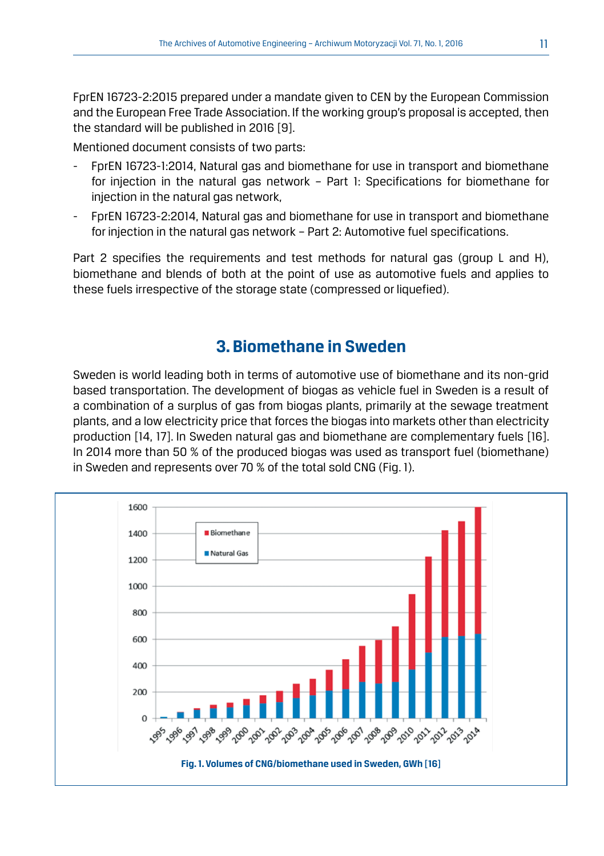FprEN 16723-2:2015 prepared under a mandate given to CEN by the European Commission and the European Free Trade Association. If the working group's proposal is accepted, then the standard will be published in 2016 [9].

Mentioned document consists of two parts:

- FprEN 16723-1:2014, Natural gas and biomethane for use in transport and biomethane for injection in the natural gas network – Part 1: Specifications for biomethane for injection in the natural gas network,
- FprEN 16723-2:2014, Natural gas and biomethane for use in transport and biomethane for injection in the natural gas network – Part 2: Automotive fuel specifications.

Part 2 specifies the requirements and test methods for natural gas (group L and H), biomethane and blends of both at the point of use as automotive fuels and applies to these fuels irrespective of the storage state (compressed or liquefied).

# **3. Biomethane in Sweden**

Sweden is world leading both in terms of automotive use of biomethane and its non-grid based transportation. The development of biogas as vehicle fuel in Sweden is a result of a combination of a surplus of gas from biogas plants, primarily at the sewage treatment plants, and a low electricity price that forces the biogas into markets other than electricity production [14, 17]. In Sweden natural gas and biomethane are complementary fuels [16]. In 2014 more than 50 % of the produced biogas was used as transport fuel (biomethane) in Sweden and represents over 70 % of the total sold CNG (Fig. 1).

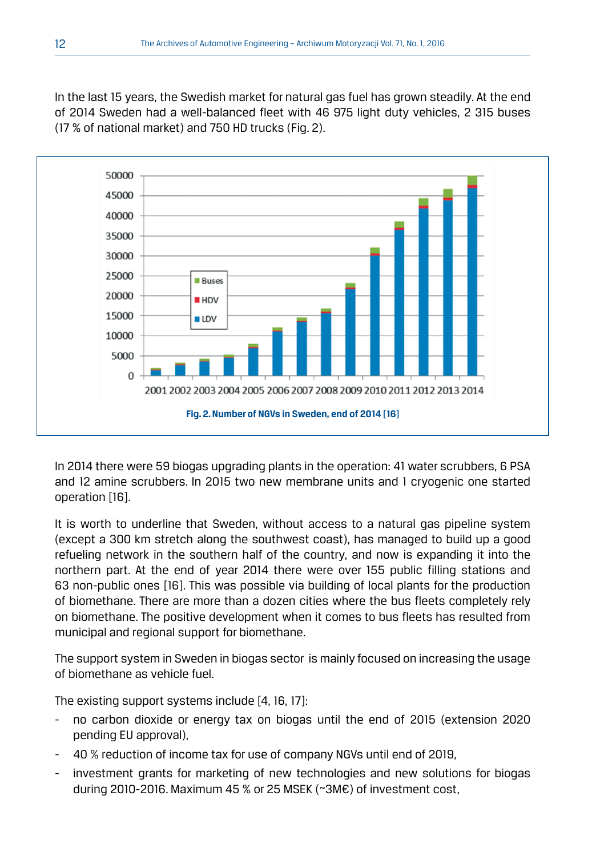In the last 15 years, the Swedish market for natural gas fuel has grown steadily. At the end of 2014 Sweden had a well-balanced fleet with 46 975 light duty vehicles, 2 315 buses (17 % of national market) and 750 HD trucks (Fig. 2).



In 2014 there were 59 biogas upgrading plants in the operation: 41 water scrubbers, 6 PSA and 12 amine scrubbers. In 2015 two new membrane units and 1 cryogenic one started operation [16].

It is worth to underline that Sweden, without access to a natural gas pipeline system (except a 300 km stretch along the southwest coast), has managed to build up a good refueling network in the southern half of the country, and now is expanding it into the northern part. At the end of year 2014 there were over 155 public filling stations and 63 non-public ones [16]. This was possible via building of local plants for the production of biomethane. There are more than a dozen cities where the bus fleets completely rely on biomethane. The positive development when it comes to bus fleets has resulted from municipal and regional support for biomethane.

The support system in Sweden in biogas sector is mainly focused on increasing the usage of biomethane as vehicle fuel.

The existing support systems include [4, 16, 17]:

- no carbon dioxide or energy tax on biogas until the end of 2015 (extension 2020 pending EU approval),
- 40 % reduction of income tax for use of company NGVs until end of 2019,
- investment grants for marketing of new technologies and new solutions for biogas during 2010-2016. Maximum 45 % or 25 MSEK (~3M€) of investment cost,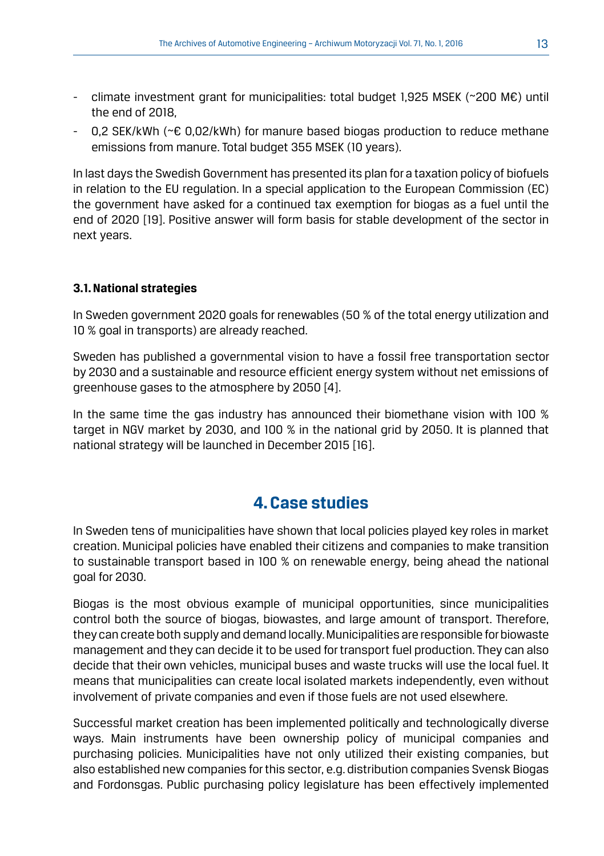- climate investment grant for municipalities: total budget 1,925 MSEK (~200 M€) until the end of 2018,
- 0,2 SEK/kWh (~€ 0,02/kWh) for manure based biogas production to reduce methane emissions from manure. Total budget 355 MSEK (10 years).

In last days the Swedish Government has presented its plan for a taxation policy of biofuels in relation to the EU regulation. In a special application to the European Commission (EC) the government have asked for a continued tax exemption for biogas as a fuel until the end of 2020 [19]. Positive answer will form basis for stable development of the sector in next years.

#### **3.1. National strategies**

In Sweden government 2020 goals for renewables (50 % of the total energy utilization and 10 % goal in transports) are already reached.

Sweden has published a governmental vision to have a fossil free transportation sector by 2030 and a sustainable and resource efficient energy system without net emissions of greenhouse gases to the atmosphere by 2050 [4].

In the same time the gas industry has announced their biomethane vision with 100 % target in NGV market by 2030, and 100 % in the national grid by 2050. It is planned that national strategy will be launched in December 2015 [16].

### **4. Case studies**

In Sweden tens of municipalities have shown that local policies played key roles in market creation. Municipal policies have enabled their citizens and companies to make transition to sustainable transport based in 100 % on renewable energy, being ahead the national goal for 2030.

Biogas is the most obvious example of municipal opportunities, since municipalities control both the source of biogas, biowastes, and large amount of transport. Therefore, they can create both supply and demand locally. Municipalities are responsible for biowaste management and they can decide it to be used for transport fuel production. They can also decide that their own vehicles, municipal buses and waste trucks will use the local fuel. It means that municipalities can create local isolated markets independently, even without involvement of private companies and even if those fuels are not used elsewhere.

Successful market creation has been implemented politically and technologically diverse ways. Main instruments have been ownership policy of municipal companies and purchasing policies. Municipalities have not only utilized their existing companies, but also established new companies for this sector, e.g. distribution companies Svensk Biogas and Fordonsgas. Public purchasing policy legislature has been effectively implemented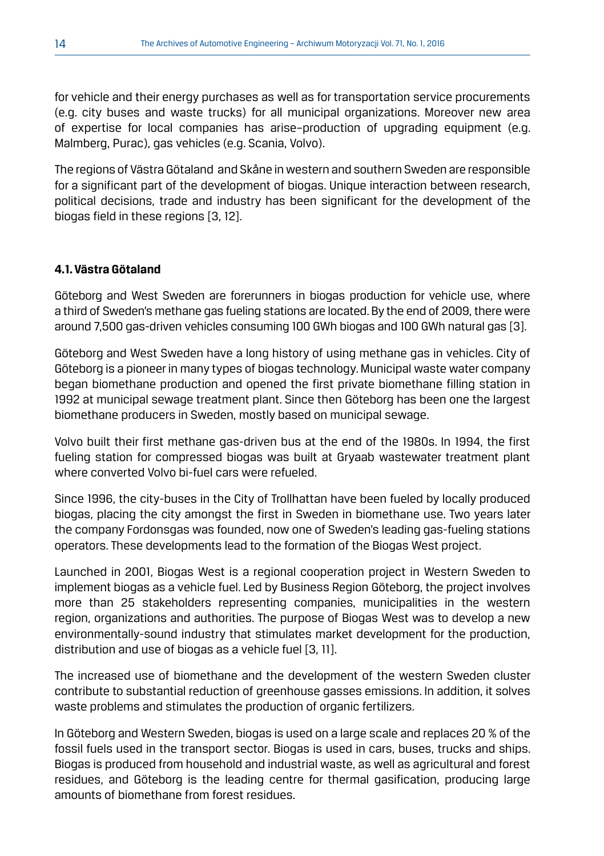for vehicle and their energy purchases as well as for transportation service procurements (e.g. city buses and waste trucks) for all municipal organizations. Moreover new area of expertise for local companies has arise–production of upgrading equipment (e.g. Malmberg, Purac), gas vehicles (e.g. Scania, Volvo).

The regions of Västra Götaland and Skåne in western and southern Sweden are responsible for a significant part of the development of biogas. Unique interaction between research, political decisions, trade and industry has been significant for the development of the biogas field in these regions [3, 12].

#### **4.1. Västra Götaland**

Göteborg and West Sweden are forerunners in biogas production for vehicle use, where a third of Sweden's methane gas fueling stations are located. By the end of 2009, there were around 7,500 gas-driven vehicles consuming 100 GWh biogas and 100 GWh natural gas [3].

Göteborg and West Sweden have a long history of using methane gas in vehicles. City of Göteborg is a pioneer in many types of biogas technology. Municipal waste water company began biomethane production and opened the first private biomethane filling station in 1992 at municipal sewage treatment plant. Since then Göteborg has been one the largest biomethane producers in Sweden, mostly based on municipal sewage.

Volvo built their first methane gas-driven bus at the end of the 1980s. In 1994, the first fueling station for compressed biogas was built at Gryaab wastewater treatment plant where converted Volvo bi-fuel cars were refueled.

Since 1996, the city-buses in the City of Trollhattan have been fueled by locally produced biogas, placing the city amongst the first in Sweden in biomethane use. Two years later the company Fordonsgas was founded, now one of Sweden's leading gas-fueling stations operators. These developments lead to the formation of the Biogas West project.

Launched in 2001, Biogas West is a regional cooperation project in Western Sweden to implement biogas as a vehicle fuel. Led by Business Region Göteborg, the project involves more than 25 stakeholders representing companies, municipalities in the western region, organizations and authorities. The purpose of Biogas West was to develop a new environmentally-sound industry that stimulates market development for the production, distribution and use of biogas as a vehicle fuel [3, 11].

The increased use of biomethane and the development of the western Sweden cluster contribute to substantial reduction of greenhouse gasses emissions. In addition, it solves waste problems and stimulates the production of organic fertilizers.

In Göteborg and Western Sweden, biogas is used on a large scale and replaces 20 % of the fossil fuels used in the transport sector. Biogas is used in cars, buses, trucks and ships. Biogas is produced from household and industrial waste, as well as agricultural and forest residues, and Göteborg is the leading centre for thermal gasification, producing large amounts of biomethane from forest residues.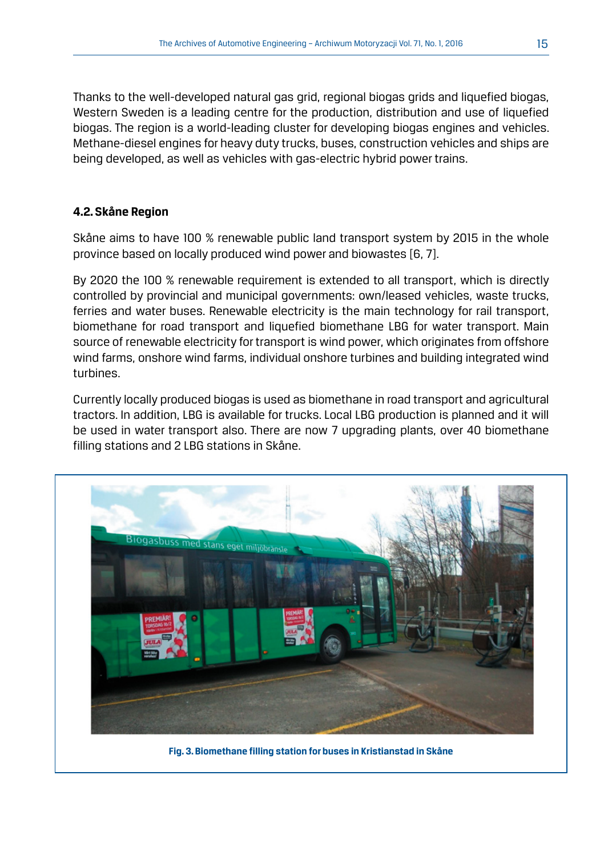Thanks to the well-developed natural gas grid, regional biogas grids and liquefied biogas, Western Sweden is a leading centre for the production, distribution and use of liquefied biogas. The region is a world-leading cluster for developing biogas engines and vehicles. Methane-diesel engines for heavy duty trucks, buses, construction vehicles and ships are being developed, as well as vehicles with gas-electric hybrid power trains.

#### **4.2. Skåne Region**

Skåne aims to have 100 % renewable public land transport system by 2015 in the whole province based on locally produced wind power and biowastes [6, 7].

By 2020 the 100 % renewable requirement is extended to all transport, which is directly controlled by provincial and municipal governments: own/leased vehicles, waste trucks, ferries and water buses. Renewable electricity is the main technology for rail transport, biomethane for road transport and liquefied biomethane LBG for water transport. Main source of renewable electricity for transport is wind power, which originates from offshore wind farms, onshore wind farms, individual onshore turbines and building integrated wind turbines.

Currently locally produced biogas is used as biomethane in road transport and agricultural tractors. In addition, LBG is available for trucks. Local LBG production is planned and it will be used in water transport also. There are now 7 upgrading plants, over 40 biomethane filling stations and 2 LBG stations in Skåne.



**Fig. 3. Biomethane filling station for buses in Kristianstad in Skåne**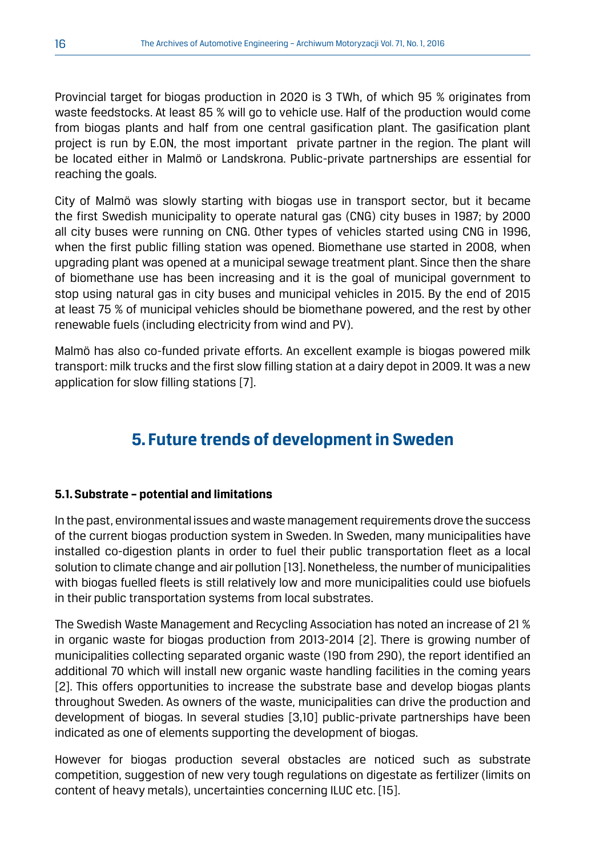Provincial target for biogas production in 2020 is 3 TWh, of which 95 % originates from waste feedstocks. At least 85 % will go to vehicle use. Half of the production would come from biogas plants and half from one central gasification plant. The gasification plant project is run by E.ON, the most important private partner in the region. The plant will be located either in Malmö or Landskrona. Public-private partnerships are essential for reaching the goals.

City of Malmö was slowly starting with biogas use in transport sector, but it became the first Swedish municipality to operate natural gas (CNG) city buses in 1987; by 2000 all city buses were running on CNG. Other types of vehicles started using CNG in 1996, when the first public filling station was opened. Biomethane use started in 2008, when upgrading plant was opened at a municipal sewage treatment plant. Since then the share of biomethane use has been increasing and it is the goal of municipal government to stop using natural gas in city buses and municipal vehicles in 2015. By the end of 2015 at least 75 % of municipal vehicles should be biomethane powered, and the rest by other renewable fuels (including electricity from wind and PV).

Malmö has also co-funded private efforts. An excellent example is biogas powered milk transport: milk trucks and the first slow filling station at a dairy depot in 2009. It was a new application for slow filling stations [7].

# **5. Future trends of development in Sweden**

#### **5.1. Substrate – potential and limitations**

In the past, environmental issues and waste management requirements drove the success of the current biogas production system in Sweden. In Sweden, many municipalities have installed co-digestion plants in order to fuel their public transportation fleet as a local solution to climate change and air pollution [13]. Nonetheless, the number of municipalities with biogas fuelled fleets is still relatively low and more municipalities could use biofuels in their public transportation systems from local substrates.

The Swedish Waste Management and Recycling Association has noted an increase of 21 % in organic waste for biogas production from 2013-2014 [2]. There is growing number of municipalities collecting separated organic waste (190 from 290), the report identified an additional 70 which will install new organic waste handling facilities in the coming years [2]. This offers opportunities to increase the substrate base and develop biogas plants throughout Sweden. As owners of the waste, municipalities can drive the production and development of biogas. In several studies [3,10] public-private partnerships have been indicated as one of elements supporting the development of biogas.

However for biogas production several obstacles are noticed such as substrate competition, suggestion of new very tough regulations on digestate as fertilizer (limits on content of heavy metals), uncertainties concerning ILUC etc. [15].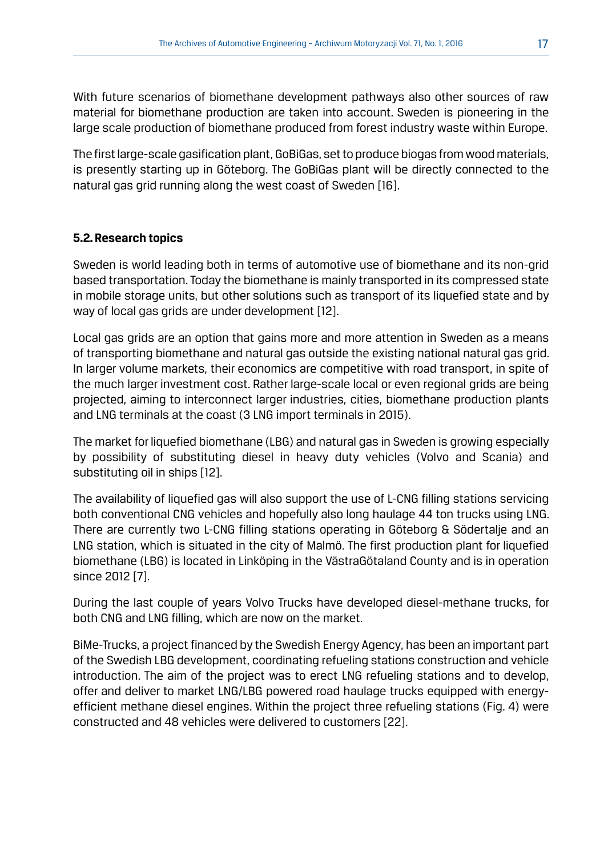With future scenarios of biomethane development pathways also other sources of raw material for biomethane production are taken into account. Sweden is pioneering in the large scale production of biomethane produced from forest industry waste within Europe.

The first large-scale gasification plant, GoBiGas, set to produce biogas from wood materials, is presently starting up in Göteborg. The GoBiGas plant will be directly connected to the natural gas grid running along the west coast of Sweden [16].

#### **5.2. Research topics**

Sweden is world leading both in terms of automotive use of biomethane and its non-grid based transportation. Today the biomethane is mainly transported in its compressed state in mobile storage units, but other solutions such as transport of its liquefied state and by way of local gas grids are under development [12].

Local gas grids are an option that gains more and more attention in Sweden as a means of transporting biomethane and natural gas outside the existing national natural gas grid. In larger volume markets, their economics are competitive with road transport, in spite of the much larger investment cost. Rather large-scale local or even regional grids are being projected, aiming to interconnect larger industries, cities, biomethane production plants and LNG terminals at the coast (3 LNG import terminals in 2015).

The market for liquefied biomethane (LBG) and natural gas in Sweden is growing especially by possibility of substituting diesel in heavy duty vehicles (Volvo and Scania) and substituting oil in ships [12].

The availability of liquefied gas will also support the use of L-CNG filling stations servicing both conventional CNG vehicles and hopefully also long haulage 44 ton trucks using LNG. There are currently two L-CNG filling stations operating in Göteborg & Södertalje and an LNG station, which is situated in the city of Malmö. The first production plant for liquefied biomethane (LBG) is located in Linköping in the VästraGötaland County and is in operation since 2012 [7].

During the last couple of years Volvo Trucks have developed diesel-methane trucks, for both CNG and LNG filling, which are now on the market.

BiMe-Trucks, a project financed by the Swedish Energy Agency, has been an important part of the Swedish LBG development, coordinating refueling stations construction and vehicle introduction. The aim of the project was to erect LNG refueling stations and to develop, offer and deliver to market LNG/LBG powered road haulage trucks equipped with energyefficient methane diesel engines. Within the project three refueling stations (Fig. 4) were constructed and 48 vehicles were delivered to customers [22].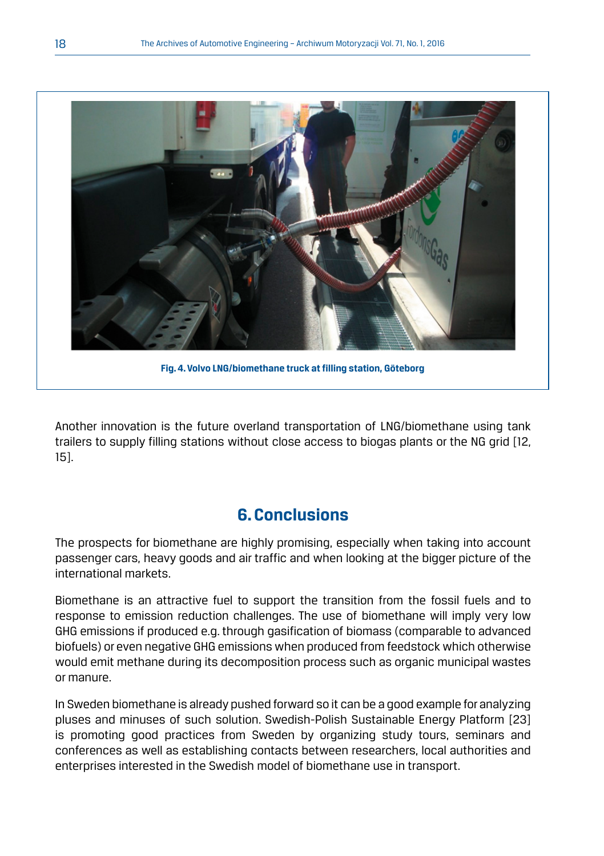

**Fig. 4. Volvo LNG/biomethane truck at filling station, Göteborg** 

Another innovation is the future overland transportation of LNG/biomethane using tank trailers to supply filling stations without close access to biogas plants or the NG grid [12, 15].

# **6. Conclusions**

The prospects for biomethane are highly promising, especially when taking into account passenger cars, heavy goods and air traffic and when looking at the bigger picture of the international markets.

Biomethane is an attractive fuel to support the transition from the fossil fuels and to response to emission reduction challenges. The use of biomethane will imply very low GHG emissions if produced e.g. through gasification of biomass (comparable to advanced biofuels) or even negative GHG emissions when produced from feedstock which otherwise would emit methane during its decomposition process such as organic municipal wastes or manure.

In Sweden biomethane is already pushed forward so it can be a good example for analyzing pluses and minuses of such solution. Swedish-Polish Sustainable Energy Platform [23] is promoting good practices from Sweden by organizing study tours, seminars and conferences as well as establishing contacts between researchers, local authorities and enterprises interested in the Swedish model of biomethane use in transport.